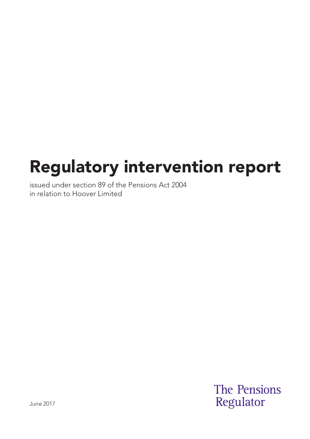# Regulatory intervention report

issued under section 89 of the Pensions Act 2004 in relation to Hoover Limited

> **The Pensions** Regulator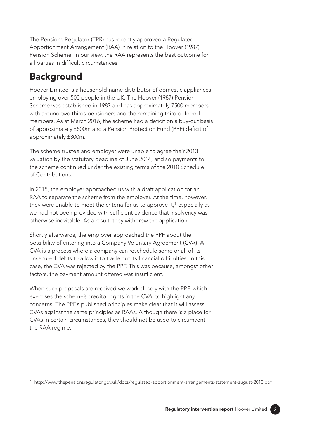The Pensions Regulator (TPR) has recently approved a Regulated Apportionment Arrangement (RAA) in relation to the Hoover (1987) Pension Scheme. In our view, the RAA represents the best outcome for all parties in difficult circumstances.

# **Background**

Hoover Limited is a household-name distributor of domestic appliances, employing over 500 people in the UK. The Hoover (1987) Pension Scheme was established in 1987 and has approximately 7500 members, with around two thirds pensioners and the remaining third deferred members. As at March 2016, the scheme had a deficit on a buy-out basis of approximately £500m and a Pension Protection Fund (PPF) deficit of approximately £300m.

The scheme trustee and employer were unable to agree their 2013 valuation by the statutory deadline of June 2014, and so payments to the scheme continued under the existing terms of the 2010 Schedule of Contributions.

In 2015, the employer approached us with a draft application for an RAA to separate the scheme from the employer. At the time, however, they were unable to meet the criteria for us to approve it,<sup>1</sup> especially as we had not been provided with sufficient evidence that insolvency was otherwise inevitable. As a result, they withdrew the application.

Shortly afterwards, the employer approached the PPF about the possibility of entering into a Company Voluntary Agreement (CVA). A CVA is a process where a company can reschedule some or all of its unsecured debts to allow it to trade out its financial difficulties. In this case, the CVA was rejected by the PPF. This was because, amongst other factors, the payment amount offered was insufficient.

When such proposals are received we work closely with the PPF, which exercises the scheme's creditor rights in the CVA, to highlight any concerns. The PPF's published principles make clear that it will assess CVAs against the same principles as RAAs. Although there is a place for CVAs in certain circumstances, they should not be used to circumvent the RAA regime.

1 http://www.thepensionsregulator.gov.uk/docs/regulated-apportionment-arrangements-statement-august-2010.pdf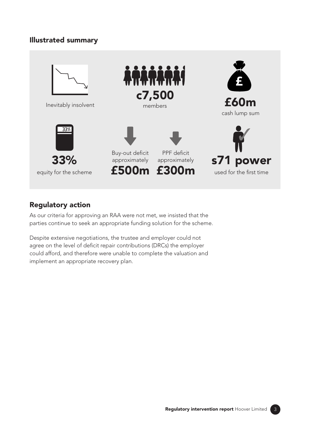#### Illustrated summary



### Regulatory action

As our criteria for approving an RAA were not met, we insisted that the parties continue to seek an appropriate funding solution for the scheme.

Despite extensive negotiations, the trustee and employer could not agree on the level of deficit repair contributions (DRCs) the employer could afford, and therefore were unable to complete the valuation and implement an appropriate recovery plan.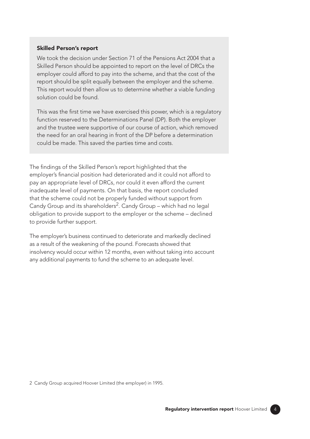#### Skilled Person's report

We took the decision under Section 71 of the Pensions Act 2004 that a Skilled Person should be appointed to report on the level of DRCs the employer could afford to pay into the scheme, and that the cost of the report should be split equally between the employer and the scheme. This report would then allow us to determine whether a viable funding solution could be found.

This was the frst time we have exercised this power, which is a regulatory function reserved to the Determinations Panel (DP). Both the employer and the trustee were supportive of our course of action, which removed the need for an oral hearing in front of the DP before a determination could be made. This saved the parties time and costs.

The findings of the Skilled Person's report highlighted that the employer's fnancial position had deteriorated and it could not afford to pay an appropriate level of DRCs, nor could it even afford the current inadequate level of payments. On that basis, the report concluded that the scheme could not be properly funded without support from Candy Group and its shareholders<sup>2</sup>. Candy Group – which had no legal obligation to provide support to the employer or the scheme – declined to provide further support.

The employer's business continued to deteriorate and markedly declined as a result of the weakening of the pound. Forecasts showed that insolvency would occur within 12 months, even without taking into account any additional payments to fund the scheme to an adequate level.

2 Candy Group acquired Hoover Limited (the employer) in 1995.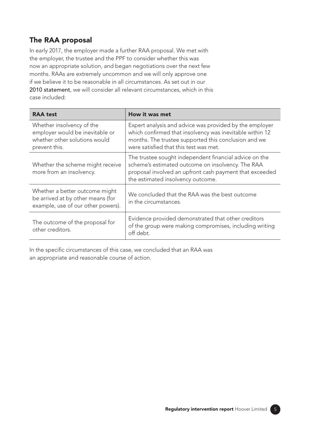## The RAA proposal

In early 2017, the employer made a further RAA proposal. We met with the employer, the trustee and the PPF to consider whether this was now an appropriate solution, and began negotiations over the next few months. RAAs are extremely uncommon and we will only approve one if we believe it to be reasonable in all circumstances. As set out in our [2010 statement](https://www.thepensionsregulator.gov.uk/-/media/thepensionsregulator/files/import/pdf/regulated-apportionment-arrangements-statement-august-2010.ashx), we will consider all relevant circumstances, which in this case included:

| <b>RAA test</b>                                                                                                | How it was met                                                                                                                                                                                                        |
|----------------------------------------------------------------------------------------------------------------|-----------------------------------------------------------------------------------------------------------------------------------------------------------------------------------------------------------------------|
| Whether insolvency of the<br>employer would be inevitable or<br>whether other solutions would<br>prevent this. | Expert analysis and advice was provided by the employer<br>which confirmed that insolvency was inevitable within 12<br>months. The trustee supported this conclusion and we<br>were satisfied that this test was met. |
| Whether the scheme might receive<br>more from an insolvency.                                                   | The trustee sought independent financial advice on the<br>scheme's estimated outcome on insolvency. The RAA<br>proposal involved an upfront cash payment that exceeded<br>the estimated insolvency outcome.           |
| Whether a better outcome might<br>be arrived at by other means (for<br>example, use of our other powers).      | We concluded that the RAA was the best outcome<br>in the circumstances.                                                                                                                                               |
| The outcome of the proposal for<br>other creditors.                                                            | Evidence provided demonstrated that other creditors<br>of the group were making compromises, including writing<br>off debt.                                                                                           |

In the specific circumstances of this case, we concluded that an RAA was an appropriate and reasonable course of action.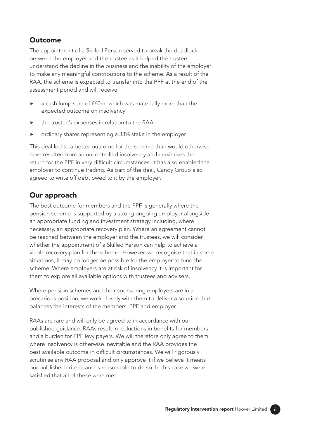#### Outcome

The appointment of a Skilled Person served to break the deadlock between the employer and the trustee as it helped the trustee understand the decline in the business and the inability of the employer to make any meaningful contributions to the scheme. As a result of the RAA, the scheme is expected to transfer into the PPF at the end of the assessment period and will receive:

- ▶ a cash lump sum of £60m, which was materially more than the expected outcome on insolvency
- the trustee's expenses in relation to the RAA
- ordinary shares representing a 33% stake in the employer.

This deal led to a better outcome for the scheme than would otherwise have resulted from an uncontrolled insolvency and maximises the return for the PPF in very difficult circumstances. It has also enabled the employer to continue trading. As part of the deal, Candy Group also agreed to write off debt owed to it by the employer.

#### Our approach

The best outcome for members and the PPF is generally where the pension scheme is supported by a strong ongoing employer alongside an appropriate funding and investment strategy including, where necessary, an appropriate recovery plan. Where an agreement cannot be reached between the employer and the trustees, we will consider whether the appointment of a Skilled Person can help to achieve a viable recovery plan for the scheme. However, we recognise that in some situations, it may no longer be possible for the employer to fund the scheme. Where employers are at risk of insolvency it is important for them to explore all available options with trustees and advisers.

Where pension schemes and their sponsoring employers are in a precarious position, we work closely with them to deliver a solution that balances the interests of the members, PPF and employer.

RAAs are rare and will only be agreed to in accordance with our published guidance. RAAs result in reductions in benefits for members and a burden for PPF levy payers. We will therefore only agree to them where insolvency is otherwise inevitable and the RAA provides the best available outcome in difficult circumstances. We will rigorously scrutinise any RAA proposal and only approve it if we believe it meets our published criteria and is reasonable to do so. In this case we were satisfed that all of these were met.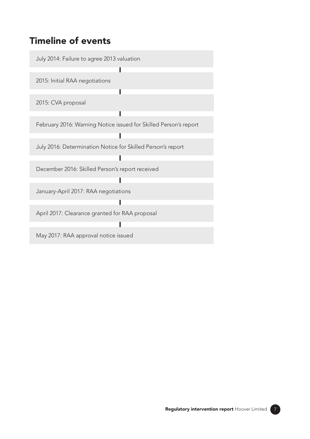## Timeline of events

July 2014: Failure to agree 2013 valuation

2015: Initial RAA negotiations

2015: CVA proposal

February 2016: Warning Notice issued for Skilled Person's report

Ī

T

I

T

July 2016: Determination Notice for Skilled Person's report

December 2016: Skilled Person's report received

January-April 2017: RAA negotiations

April 2017: Clearance granted for RAA proposal

May 2017: RAA approval notice issued